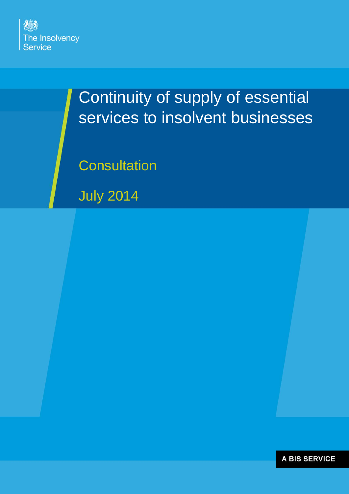

# Continuity of supply of essential services to insolvent businesses

**Consultation** 

July 2014

**A BIS SERVICE**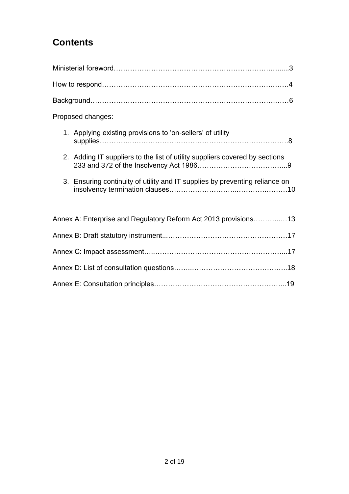# **Contents**

| Proposed changes:                                                           |
|-----------------------------------------------------------------------------|
| 1. Applying existing provisions to 'on-sellers' of utility                  |
| 2. Adding IT suppliers to the list of utility suppliers covered by sections |
| 3. Ensuring continuity of utility and IT supplies by preventing reliance on |
| Annex A: Enterprise and Regulatory Reform Act 2013 provisions13             |
|                                                                             |
|                                                                             |
|                                                                             |
|                                                                             |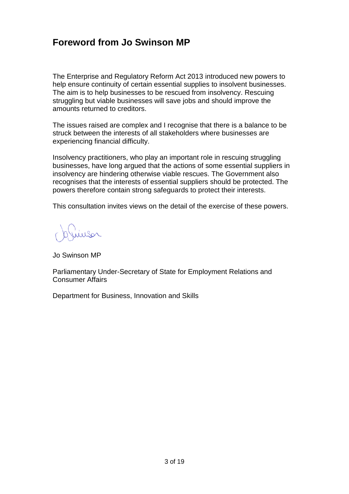## **Foreword from Jo Swinson MP**

The Enterprise and Regulatory Reform Act 2013 introduced new powers to help ensure continuity of certain essential supplies to insolvent businesses. The aim is to help businesses to be rescued from insolvency. Rescuing struggling but viable businesses will save jobs and should improve the amounts returned to creditors.

The issues raised are complex and I recognise that there is a balance to be struck between the interests of all stakeholders where businesses are experiencing financial difficulty.

Insolvency practitioners, who play an important role in rescuing struggling businesses, have long argued that the actions of some essential suppliers in insolvency are hindering otherwise viable rescues. The Government also recognises that the interests of essential suppliers should be protected. The powers therefore contain strong safeguards to protect their interests.

This consultation invites views on the detail of the exercise of these powers.

hiusor

Jo Swinson MP

Parliamentary Under-Secretary of State for Employment Relations and Consumer Affairs

Department for Business, Innovation and Skills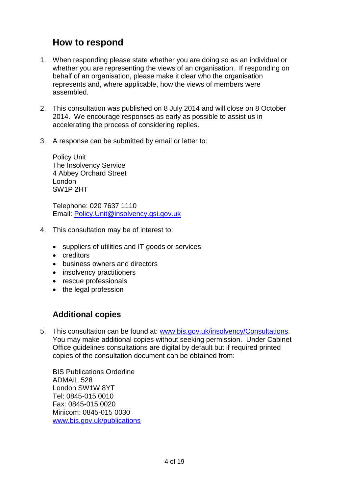## **How to respond**

- 1. When responding please state whether you are doing so as an individual or whether you are representing the views of an organisation. If responding on behalf of an organisation, please make it clear who the organisation represents and, where applicable, how the views of members were assembled.
- 2. This consultation was published on 8 July 2014 and will close on 8 October 2014. We encourage responses as early as possible to assist us in accelerating the process of considering replies.
- 3. A response can be submitted by email or letter to:

Policy Unit The Insolvency Service 4 Abbey Orchard Street London SW1P 2HT

Telephone: 020 7637 1110 Email: [Policy.Unit@insolvency.gsi.gov.uk](mailto:Policy.Unit@insolvency.gsi.gov.uk)

- 4. This consultation may be of interest to:
	- suppliers of utilities and IT goods or services
	- creditors
	- business owners and directors
	- insolvency practitioners
	- rescue professionals
	- the legal profession

#### **Additional copies**

5. This consultation can be found at: [www.bis.gov.uk/insolvency/Consultations.](http://www.bis.gov.uk/insolvency/Consultations) You may make additional copies without seeking permission. Under Cabinet Office guidelines consultations are digital by default but if required printed copies of the consultation document can be obtained from:

BIS Publications Orderline ADMAIL 528 London SW1W 8YT Tel: 0845-015 0010 Fax: 0845-015 0020 Minicom: 0845-015 0030 [www.bis.gov.uk/publications](http://www.bis.gov.uk/publications)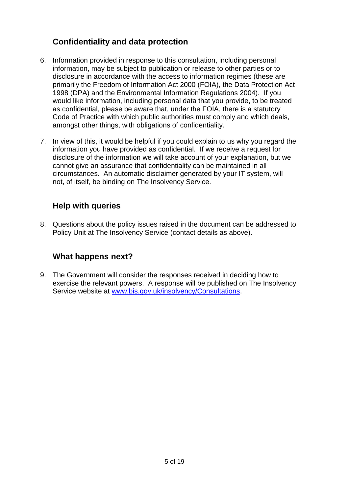## **Confidentiality and data protection**

- 6. Information provided in response to this consultation, including personal information, may be subject to publication or release to other parties or to disclosure in accordance with the access to information regimes (these are primarily the Freedom of Information Act 2000 (FOIA), the Data Protection Act 1998 (DPA) and the Environmental Information Regulations 2004). If you would like information, including personal data that you provide, to be treated as confidential, please be aware that, under the FOIA, there is a statutory Code of Practice with which public authorities must comply and which deals, amongst other things, with obligations of confidentiality.
- 7. In view of this, it would be helpful if you could explain to us why you regard the information you have provided as confidential. If we receive a request for disclosure of the information we will take account of your explanation, but we cannot give an assurance that confidentiality can be maintained in all circumstances. An automatic disclaimer generated by your IT system, will not, of itself, be binding on The Insolvency Service.

## **Help with queries**

8. Questions about the policy issues raised in the document can be addressed to Policy Unit at The Insolvency Service (contact details as above).

## **What happens next?**

9. The Government will consider the responses received in deciding how to exercise the relevant powers. A response will be published on The Insolvency Service website at [www.bis.gov.uk/insolvency/Consultations.](http://www.bis.gov.uk/insolvency/Consultations)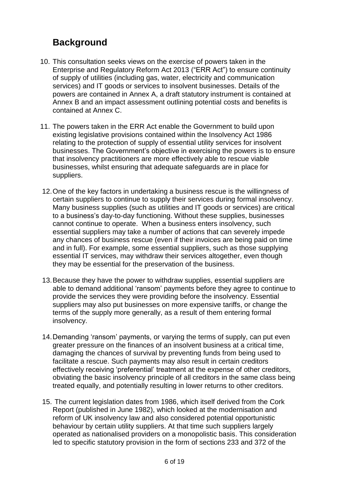## **Background**

- 10. This consultation seeks views on the exercise of powers taken in the Enterprise and Regulatory Reform Act 2013 ("ERR Act") to ensure continuity of supply of utilities (including gas, water, electricity and communication services) and IT goods or services to insolvent businesses. Details of the powers are contained in Annex A, a draft statutory instrument is contained at Annex B and an impact assessment outlining potential costs and benefits is contained at Annex C.
- 11. The powers taken in the ERR Act enable the Government to build upon existing legislative provisions contained within the Insolvency Act 1986 relating to the protection of supply of essential utility services for insolvent businesses. The Government's objective in exercising the powers is to ensure that insolvency practitioners are more effectively able to rescue viable businesses, whilst ensuring that adequate safeguards are in place for suppliers.
- 12.One of the key factors in undertaking a business rescue is the willingness of certain suppliers to continue to supply their services during formal insolvency. Many business supplies (such as utilities and IT goods or services) are critical to a business's day-to-day functioning. Without these supplies, businesses cannot continue to operate. When a business enters insolvency, such essential suppliers may take a number of actions that can severely impede any chances of business rescue (even if their invoices are being paid on time and in full). For example, some essential suppliers, such as those supplying essential IT services, may withdraw their services altogether, even though they may be essential for the preservation of the business.
- 13.Because they have the power to withdraw supplies, essential suppliers are able to demand additional 'ransom' payments before they agree to continue to provide the services they were providing before the insolvency. Essential suppliers may also put businesses on more expensive tariffs, or change the terms of the supply more generally, as a result of them entering formal insolvency.
- 14.Demanding 'ransom' payments, or varying the terms of supply, can put even greater pressure on the finances of an insolvent business at a critical time, damaging the chances of survival by preventing funds from being used to facilitate a rescue. Such payments may also result in certain creditors effectively receiving 'preferential' treatment at the expense of other creditors, obviating the basic insolvency principle of all creditors in the same class being treated equally, and potentially resulting in lower returns to other creditors.
- 15. The current legislation dates from 1986, which itself derived from the Cork Report (published in June 1982), which looked at the modernisation and reform of UK insolvency law and also considered potential opportunistic behaviour by certain utility suppliers. At that time such suppliers largely operated as nationalised providers on a monopolistic basis. This consideration led to specific statutory provision in the form of sections 233 and 372 of the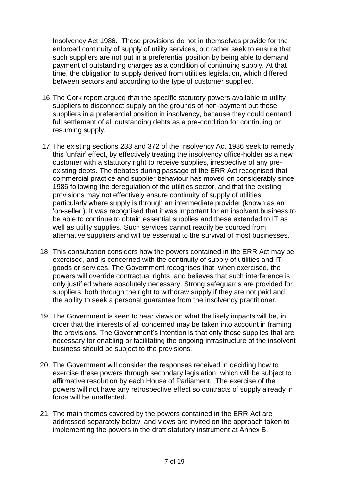Insolvency Act 1986. These provisions do not in themselves provide for the enforced continuity of supply of utility services, but rather seek to ensure that such suppliers are not put in a preferential position by being able to demand payment of outstanding charges as a condition of continuing supply. At that time, the obligation to supply derived from utilities legislation, which differed between sectors and according to the type of customer supplied.

- 16.The Cork report argued that the specific statutory powers available to utility suppliers to disconnect supply on the grounds of non-payment put those suppliers in a preferential position in insolvency, because they could demand full settlement of all outstanding debts as a pre-condition for continuing or resuming supply.
- 17.The existing sections 233 and 372 of the Insolvency Act 1986 seek to remedy this 'unfair' effect, by effectively treating the insolvency office-holder as a new customer with a statutory right to receive supplies, irrespective of any preexisting debts. The debates during passage of the ERR Act recognised that commercial practice and supplier behaviour has moved on considerably since 1986 following the deregulation of the utilities sector, and that the existing provisions may not effectively ensure continuity of supply of utilities, particularly where supply is through an intermediate provider (known as an 'on-seller'). It was recognised that it was important for an insolvent business to be able to continue to obtain essential supplies and these extended to IT as well as utility supplies. Such services cannot readily be sourced from alternative suppliers and will be essential to the survival of most businesses.
- 18. This consultation considers how the powers contained in the ERR Act may be exercised, and is concerned with the continuity of supply of utilities and IT goods or services. The Government recognises that, when exercised, the powers will override contractual rights, and believes that such interference is only justified where absolutely necessary. Strong safeguards are provided for suppliers, both through the right to withdraw supply if they are not paid and the ability to seek a personal guarantee from the insolvency practitioner.
- 19. The Government is keen to hear views on what the likely impacts will be, in order that the interests of all concerned may be taken into account in framing the provisions. The Government's intention is that only those supplies that are necessary for enabling or facilitating the ongoing infrastructure of the insolvent business should be subject to the provisions.
- 20. The Government will consider the responses received in deciding how to exercise these powers through secondary legislation, which will be subject to affirmative resolution by each House of Parliament. The exercise of the powers will not have any retrospective effect so contracts of supply already in force will be unaffected.
- 21. The main themes covered by the powers contained in the ERR Act are addressed separately below, and views are invited on the approach taken to implementing the powers in the draft statutory instrument at Annex B.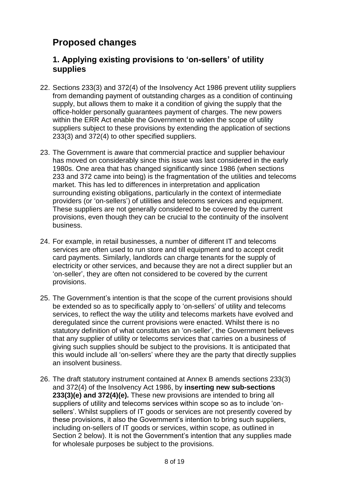# **Proposed changes**

## **1. Applying existing provisions to 'on-sellers' of utility supplies**

- 22. Sections 233(3) and 372(4) of the Insolvency Act 1986 prevent utility suppliers from demanding payment of outstanding charges as a condition of continuing supply, but allows them to make it a condition of giving the supply that the office-holder personally guarantees payment of charges. The new powers within the ERR Act enable the Government to widen the scope of utility suppliers subject to these provisions by extending the application of sections 233(3) and 372(4) to other specified suppliers.
- 23. The Government is aware that commercial practice and supplier behaviour has moved on considerably since this issue was last considered in the early 1980s. One area that has changed significantly since 1986 (when sections 233 and 372 came into being) is the fragmentation of the utilities and telecoms market. This has led to differences in interpretation and application surrounding existing obligations, particularly in the context of intermediate providers (or 'on-sellers') of utilities and telecoms services and equipment. These suppliers are not generally considered to be covered by the current provisions, even though they can be crucial to the continuity of the insolvent business.
- 24. For example, in retail businesses, a number of different IT and telecoms services are often used to run store and till equipment and to accept credit card payments. Similarly, landlords can charge tenants for the supply of electricity or other services, and because they are not a direct supplier but an 'on-seller', they are often not considered to be covered by the current provisions.
- 25. The Government's intention is that the scope of the current provisions should be extended so as to specifically apply to 'on-sellers' of utility and telecoms services, to reflect the way the utility and telecoms markets have evolved and deregulated since the current provisions were enacted. Whilst there is no statutory definition of what constitutes an 'on-seller', the Government believes that any supplier of utility or telecoms services that carries on a business of giving such supplies should be subject to the provisions. It is anticipated that this would include all 'on-sellers' where they are the party that directly supplies an insolvent business.
- 26. The draft statutory instrument contained at Annex B amends sections 233(3) and 372(4) of the Insolvency Act 1986, by **inserting new sub-sections 233(3)(e) and 372(4)(e).** These new provisions are intended to bring all suppliers of utility and telecoms services within scope so as to include 'onsellers'. Whilst suppliers of IT goods or services are not presently covered by these provisions, it also the Government's intention to bring such suppliers, including on-sellers of IT goods or services, within scope, as outlined in Section 2 below). It is not the Government's intention that any supplies made for wholesale purposes be subject to the provisions.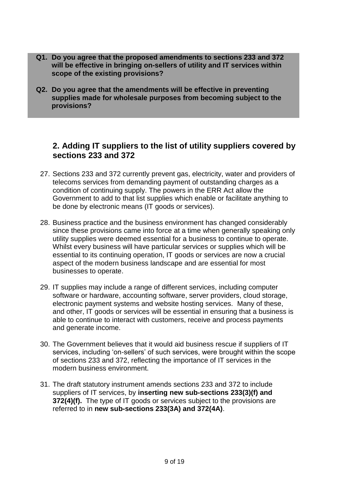- **Q1. Do you agree that the proposed amendments to sections 233 and 372 will be effective in bringing on-sellers of utility and IT services within scope of the existing provisions?**
- **Q2. Do you agree that the amendments will be effective in preventing supplies made for wholesale purposes from becoming subject to the provisions?**

#### **2. Adding IT suppliers to the list of utility suppliers covered by sections 233 and 372**

- 27. Sections 233 and 372 currently prevent gas, electricity, water and providers of telecoms services from demanding payment of outstanding charges as a condition of continuing supply. The powers in the ERR Act allow the Government to add to that list supplies which enable or facilitate anything to be done by electronic means (IT goods or services).
- 28. Business practice and the business environment has changed considerably since these provisions came into force at a time when generally speaking only utility supplies were deemed essential for a business to continue to operate. Whilst every business will have particular services or supplies which will be essential to its continuing operation, IT goods or services are now a crucial aspect of the modern business landscape and are essential for most businesses to operate.
- 29. IT supplies may include a range of different services, including computer software or hardware, accounting software, server providers, cloud storage, electronic payment systems and website hosting services. Many of these, and other, IT goods or services will be essential in ensuring that a business is able to continue to interact with customers, receive and process payments and generate income.
- 30. The Government believes that it would aid business rescue if suppliers of IT services, including 'on-sellers' of such services, were brought within the scope of sections 233 and 372, reflecting the importance of IT services in the modern business environment.
- 31. The draft statutory instrument amends sections 233 and 372 to include suppliers of IT services, by **inserting new sub-sections 233(3)(f) and 372(4)(f).** The type of IT goods or services subject to the provisions are referred to in **new sub-sections 233(3A) and 372(4A)**.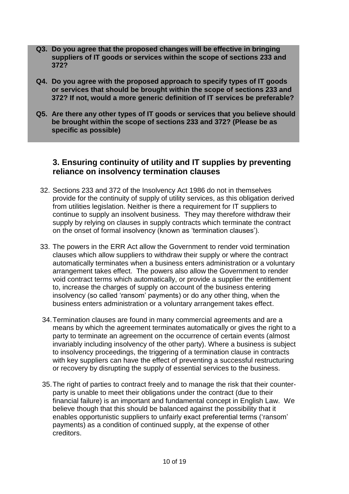- **Q3. Do you agree that the proposed changes will be effective in bringing suppliers of IT goods or services within the scope of sections 233 and 372?**
- **Q4. Do you agree with the proposed approach to specify types of IT goods or services that should be brought within the scope of sections 233 and 372? If not, would a more generic definition of IT services be preferable?**
- **Q5. Are there any other types of IT goods or services that you believe should be brought within the scope of sections 233 and 372? (Please be as specific as possible)**

#### **3. Ensuring continuity of utility and IT supplies by preventing reliance on insolvency termination clauses**

- 32. Sections 233 and 372 of the Insolvency Act 1986 do not in themselves provide for the continuity of supply of utility services, as this obligation derived from utilities legislation. Neither is there a requirement for IT suppliers to continue to supply an insolvent business. They may therefore withdraw their supply by relying on clauses in supply contracts which terminate the contract on the onset of formal insolvency (known as 'termination clauses').
- 33. The powers in the ERR Act allow the Government to render void termination clauses which allow suppliers to withdraw their supply or where the contract automatically terminates when a business enters administration or a voluntary arrangement takes effect. The powers also allow the Government to render void contract terms which automatically, or provide a supplier the entitlement to, increase the charges of supply on account of the business entering insolvency (so called 'ransom' payments) or do any other thing, when the business enters administration or a voluntary arrangement takes effect.
- 34.Termination clauses are found in many commercial agreements and are a means by which the agreement terminates automatically or gives the right to a party to terminate an agreement on the occurrence of certain events (almost invariably including insolvency of the other party). Where a business is subject to insolvency proceedings, the triggering of a termination clause in contracts with key suppliers can have the effect of preventing a successful restructuring or recovery by disrupting the supply of essential services to the business.
- 35.The right of parties to contract freely and to manage the risk that their counterparty is unable to meet their obligations under the contract (due to their financial failure) is an important and fundamental concept in English Law. We believe though that this should be balanced against the possibility that it enables opportunistic suppliers to unfairly exact preferential terms ('ransom' payments) as a condition of continued supply, at the expense of other creditors.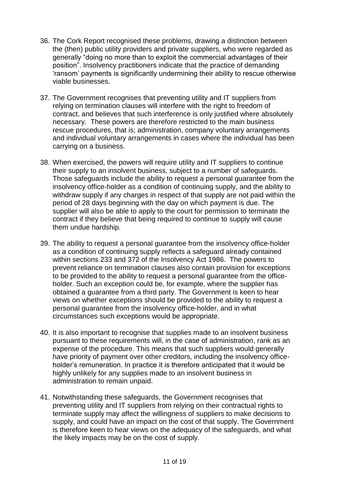- 36. The Cork Report recognised these problems, drawing a distinction between the (then) public utility providers and private suppliers, who were regarded as generally "doing no more than to exploit the commercial advantages of their position". Insolvency practitioners indicate that the practice of demanding 'ransom' payments is significantly undermining their ability to rescue otherwise viable businesses.
- 37. The Government recognises that preventing utility and IT suppliers from relying on termination clauses will interfere with the right to freedom of contract, and believes that such interference is only justified where absolutely necessary. These powers are therefore restricted to the main business rescue procedures, that is; administration, company voluntary arrangements and individual voluntary arrangements in cases where the individual has been carrying on a business.
- 38. When exercised, the powers will require utility and IT suppliers to continue their supply to an insolvent business, subject to a number of safeguards. Those safeguards include the ability to request a personal guarantee from the insolvency office-holder as a condition of continuing supply, and the ability to withdraw supply if any charges in respect of that supply are not paid within the period of 28 days beginning with the day on which payment is due. The supplier will also be able to apply to the court for permission to terminate the contract if they believe that being required to continue to supply will cause them undue hardship.
- 39. The ability to request a personal guarantee from the insolvency office-holder as a condition of continuing supply reflects a safeguard already contained within sections 233 and 372 of the Insolvency Act 1986. The powers to prevent reliance on termination clauses also contain provision for exceptions to be provided to the ability to request a personal guarantee from the officeholder. Such an exception could be, for example, where the supplier has obtained a guarantee from a third party. The Government is keen to hear views on whether exceptions should be provided to the ability to request a personal guarantee from the insolvency office-holder, and in what circumstances such exceptions would be appropriate.
- 40. It is also important to recognise that supplies made to an insolvent business pursuant to these requirements will, in the case of administration, rank as an expense of the procedure. This means that such suppliers would generally have priority of payment over other creditors, including the insolvency officeholder's remuneration. In practice it is therefore anticipated that it would be highly unlikely for any supplies made to an insolvent business in administration to remain unpaid.
- 41. Notwithstanding these safeguards, the Government recognises that preventing utility and IT suppliers from relying on their contractual rights to terminate supply may affect the willingness of suppliers to make decisions to supply, and could have an impact on the cost of that supply. The Government is therefore keen to hear views on the adequacy of the safeguards, and what the likely impacts may be on the cost of supply.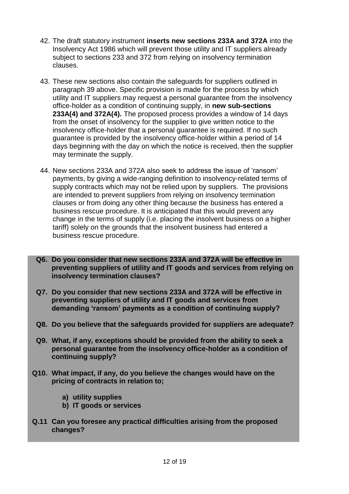- 42. The draft statutory instrument **inserts new sections 233A and 372A** into the Insolvency Act 1986 which will prevent those utility and IT suppliers already subject to sections 233 and 372 from relying on insolvency termination clauses.
- 43. These new sections also contain the safeguards for suppliers outlined in paragraph 39 above. Specific provision is made for the process by which utility and IT suppliers may request a personal guarantee from the insolvency office-holder as a condition of continuing supply, in **new sub-sections 233A(4) and 372A(4).** The proposed process provides a window of 14 days from the onset of insolvency for the supplier to give written notice to the insolvency office-holder that a personal guarantee is required. If no such guarantee is provided by the insolvency office-holder within a period of 14 days beginning with the day on which the notice is received, then the supplier may terminate the supply.
- 44. New sections 233A and 372A also seek to address the issue of 'ransom' payments, by giving a wide-ranging definition to insolvency-related terms of supply contracts which may not be relied upon by suppliers. The provisions are intended to prevent suppliers from relying on insolvency termination clauses or from doing any other thing because the business has entered a business rescue procedure. It is anticipated that this would prevent any change in the terms of supply (i.e. placing the insolvent business on a higher tariff) solely on the grounds that the insolvent business had entered a business rescue procedure.
- **Q6. Do you consider that new sections 233A and 372A will be effective in preventing suppliers of utility and IT goods and services from relying on insolvency termination clauses?**
- **Q7. Do you consider that new sections 233A and 372A will be effective in preventing suppliers of utility and IT goods and services from demanding 'ransom' payments as a condition of continuing supply?**
- **Q8. Do you believe that the safeguards provided for suppliers are adequate?**
- **Q9. What, if any, exceptions should be provided from the ability to seek a personal guarantee from the insolvency office-holder as a condition of continuing supply?**
- **Q10. What impact, if any, do you believe the changes would have on the pricing of contracts in relation to;**
	- **a) utility supplies**
	- **b) IT goods or services**
- **Q.11 Can you foresee any practical difficulties arising from the proposed changes?**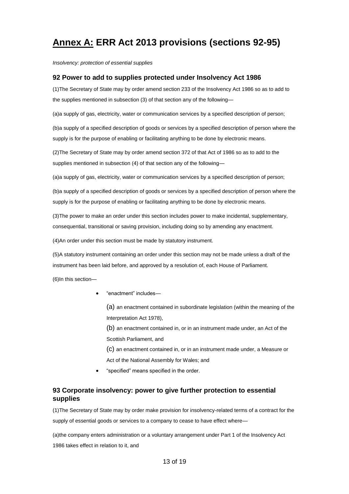# **Annex A: ERR Act 2013 provisions (sections 92-95)**

*Insolvency: protection of essential supplies*

#### **92 Power to add to supplies protected under Insolvency Act 1986**

(1)The Secretary of State may by order amend section 233 of the Insolvency Act 1986 so as to add to the supplies mentioned in subsection (3) of that section any of the following—

(a)a supply of gas, electricity, water or communication services by a specified description of person;

(b)a supply of a specified description of goods or services by a specified description of person where the supply is for the purpose of enabling or facilitating anything to be done by electronic means.

(2)The Secretary of State may by order amend section 372 of that Act of 1986 so as to add to the supplies mentioned in subsection (4) of that section any of the following—

(a)a supply of gas, electricity, water or communication services by a specified description of person;

(b)a supply of a specified description of goods or services by a specified description of person where the supply is for the purpose of enabling or facilitating anything to be done by electronic means.

(3)The power to make an order under this section includes power to make incidental, supplementary, consequential, transitional or saving provision, including doing so by amending any enactment.

(4)An order under this section must be made by statutory instrument.

(5)A statutory instrument containing an order under this section may not be made unless a draft of the instrument has been laid before, and approved by a resolution of, each House of Parliament.

(6)In this section—

"enactment" includes—

(a) an enactment contained in subordinate legislation (within the meaning of the Interpretation Act 1978),

(b) an enactment contained in, or in an instrument made under, an Act of the Scottish Parliament, and

(c) an enactment contained in, or in an instrument made under, a Measure or Act of the National Assembly for Wales; and

"specified" means specified in the order.

#### **93 Corporate insolvency: power to give further protection to essential supplies**

(1)The Secretary of State may by order make provision for insolvency-related terms of a contract for the supply of essential goods or services to a company to cease to have effect where—

(a)the company enters administration or a voluntary arrangement under Part 1 of the Insolvency Act 1986 takes effect in relation to it, and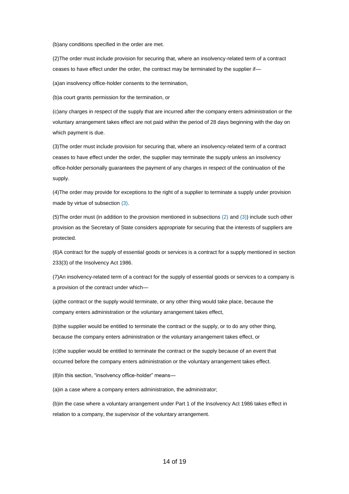(b)any conditions specified in the order are met.

(2)The order must include provision for securing that, where an insolvency-related term of a contract ceases to have effect under the order, the contract may be terminated by the supplier if—

(a)an insolvency office-holder consents to the termination,

(b)a court grants permission for the termination, or

(c)any charges in respect of the supply that are incurred after the company enters administration or the voluntary arrangement takes effect are not paid within the period of 28 days beginning with the day on which payment is due.

(3)The order must include provision for securing that, where an insolvency-related term of a contract ceases to have effect under the order, the supplier may terminate the supply unless an insolvency office-holder personally guarantees the payment of any charges in respect of the continuation of the supply.

(4)The order may provide for exceptions to the right of a supplier to terminate a supply under provision made by virtue of subsection [\(3\).](http://www.legislation.gov.uk/ukpga/2013/24/part/6/crossheading/insolvency-protection-of-essential-supplies/enacted#section-93-3#section-93-3)

(5)The order must (in addition to the provision mentioned in subsections [\(2\)](http://www.legislation.gov.uk/ukpga/2013/24/part/6/crossheading/insolvency-protection-of-essential-supplies/enacted#section-93-2#section-93-2) an[d \(3\)\)](http://www.legislation.gov.uk/ukpga/2013/24/part/6/crossheading/insolvency-protection-of-essential-supplies/enacted#section-93-3#section-93-3) include such other provision as the Secretary of State considers appropriate for securing that the interests of suppliers are protected.

(6)A contract for the supply of essential goods or services is a contract for a supply mentioned in section 233(3) of the Insolvency Act 1986.

(7)An insolvency-related term of a contract for the supply of essential goods or services to a company is a provision of the contract under which—

(a)the contract or the supply would terminate, or any other thing would take place, because the company enters administration or the voluntary arrangement takes effect,

(b)the supplier would be entitled to terminate the contract or the supply, or to do any other thing, because the company enters administration or the voluntary arrangement takes effect, or

(c)the supplier would be entitled to terminate the contract or the supply because of an event that occurred before the company enters administration or the voluntary arrangement takes effect.

(8)In this section, "insolvency office-holder" means—

(a)in a case where a company enters administration, the administrator;

(b)in the case where a voluntary arrangement under Part 1 of the Insolvency Act 1986 takes effect in relation to a company, the supervisor of the voluntary arrangement.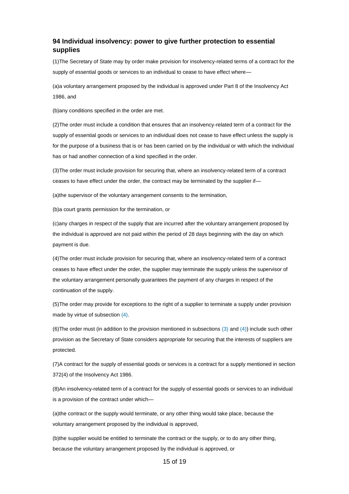#### **94 Individual insolvency: power to give further protection to essential supplies**

(1)The Secretary of State may by order make provision for insolvency-related terms of a contract for the supply of essential goods or services to an individual to cease to have effect where—

(a)a voluntary arrangement proposed by the individual is approved under Part 8 of the Insolvency Act 1986, and

(b)any conditions specified in the order are met.

(2)The order must include a condition that ensures that an insolvency-related term of a contract for the supply of essential goods or services to an individual does not cease to have effect unless the supply is for the purpose of a business that is or has been carried on by the individual or with which the individual has or had another connection of a kind specified in the order.

(3)The order must include provision for securing that, where an insolvency-related term of a contract ceases to have effect under the order, the contract may be terminated by the supplier if—

(a)the supervisor of the voluntary arrangement consents to the termination,

(b)a court grants permission for the termination, or

(c)any charges in respect of the supply that are incurred after the voluntary arrangement proposed by the individual is approved are not paid within the period of 28 days beginning with the day on which payment is due.

(4)The order must include provision for securing that, where an insolvency-related term of a contract ceases to have effect under the order, the supplier may terminate the supply unless the supervisor of the voluntary arrangement personally guarantees the payment of any charges in respect of the continuation of the supply.

(5)The order may provide for exceptions to the right of a supplier to terminate a supply under provision made by virtue of subsection [\(4\).](http://www.legislation.gov.uk/ukpga/2013/24/part/6/crossheading/insolvency-protection-of-essential-supplies/enacted#section-94-4#section-94-4)

(6)The order must (in addition to the provision mentioned in subsections [\(3\)](http://www.legislation.gov.uk/ukpga/2013/24/part/6/crossheading/insolvency-protection-of-essential-supplies/enacted#section-94-3#section-94-3) an[d \(4\)\)](http://www.legislation.gov.uk/ukpga/2013/24/part/6/crossheading/insolvency-protection-of-essential-supplies/enacted#section-94-4#section-94-4) include such other provision as the Secretary of State considers appropriate for securing that the interests of suppliers are protected.

(7)A contract for the supply of essential goods or services is a contract for a supply mentioned in section 372(4) of the Insolvency Act 1986.

(8)An insolvency-related term of a contract for the supply of essential goods or services to an individual is a provision of the contract under which—

(a)the contract or the supply would terminate, or any other thing would take place, because the voluntary arrangement proposed by the individual is approved,

(b)the supplier would be entitled to terminate the contract or the supply, or to do any other thing, because the voluntary arrangement proposed by the individual is approved, or

#### 15 of 19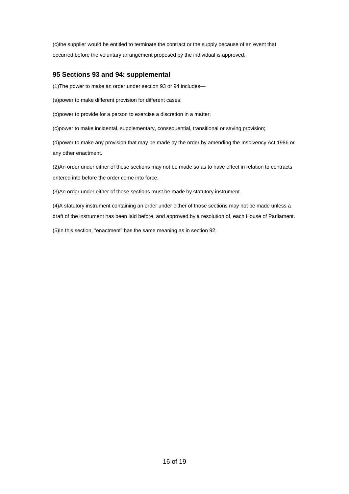(c)the supplier would be entitled to terminate the contract or the supply because of an event that occurred before the voluntary arrangement proposed by the individual is approved.

#### **95 Sections 93 and 94: supplemental**

(1)The power to make an order under section 93 or 94 includes—

(a)power to make different provision for different cases;

(b)power to provide for a person to exercise a discretion in a matter;

(c)power to make incidental, supplementary, consequential, transitional or saving provision;

(d)power to make any provision that may be made by the order by amending the Insolvency Act 1986 or any other enactment.

(2)An order under either of those sections may not be made so as to have effect in relation to contracts entered into before the order come into force.

(3)An order under either of those sections must be made by statutory instrument.

(4)A statutory instrument containing an order under either of those sections may not be made unless a draft of the instrument has been laid before, and approved by a resolution of, each House of Parliament.

(5)In this section, "enactment" has the same meaning as in section 92.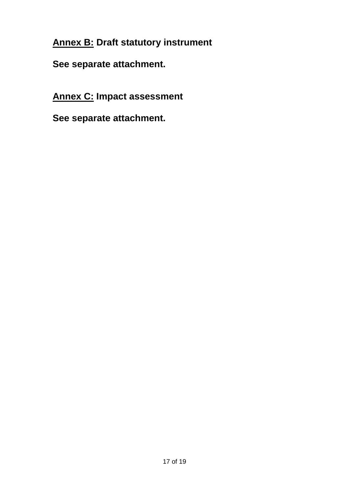**Annex B: Draft statutory instrument**

**See separate attachment.**

**Annex C: Impact assessment**

**See separate attachment.**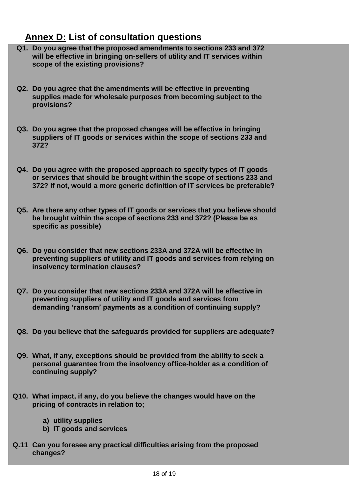## **Annex D: List of consultation questions**

- **Q1. Do you agree that the proposed amendments to sections 233 and 372 will be effective in bringing on-sellers of utility and IT services within scope of the existing provisions?**
- **Q2. Do you agree that the amendments will be effective in preventing supplies made for wholesale purposes from becoming subject to the provisions?**
- **Q3. Do you agree that the proposed changes will be effective in bringing suppliers of IT goods or services within the scope of sections 233 and 372?**
- **Q4. Do you agree with the proposed approach to specify types of IT goods or services that should be brought within the scope of sections 233 and 372? If not, would a more generic definition of IT services be preferable?**
- **Q5. Are there any other types of IT goods or services that you believe should be brought within the scope of sections 233 and 372? (Please be as specific as possible)**
- **Q6. Do you consider that new sections 233A and 372A will be effective in preventing suppliers of utility and IT goods and services from relying on insolvency termination clauses?**
- **Q7. Do you consider that new sections 233A and 372A will be effective in preventing suppliers of utility and IT goods and services from demanding 'ransom' payments as a condition of continuing supply?**
- **Q8. Do you believe that the safeguards provided for suppliers are adequate?**
- **Q9. What, if any, exceptions should be provided from the ability to seek a personal guarantee from the insolvency office-holder as a condition of continuing supply?**
- **Q10. What impact, if any, do you believe the changes would have on the pricing of contracts in relation to;**
	- **a) utility supplies**
	- **b) IT goods and services**
- **Q.11 Can you foresee any practical difficulties arising from the proposed changes?**